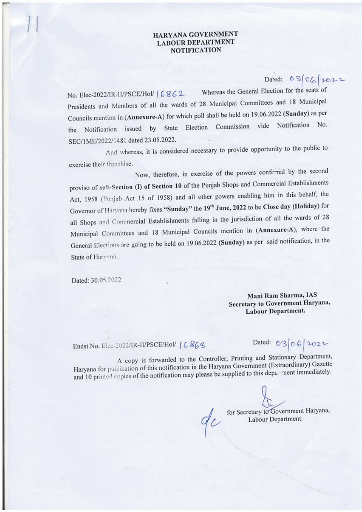## HARYANA GOVERNMENT **LABOUR DEPARTMENT NOTIFICATION**

## Dated: 03/06/2022

Whereas the General Election for the seats of No. Elec-2022/IR-II/PSCE/Hol/ [6862 Presidents and Members of all the wards of 28 Municipal Committees and 18 Municipal Councils mention in (Annexure-A) for which poll shall be held on 19.06.2022 (Sunday) as per Election Commission vide Notification No. by State Notification issued the SEC/1ME/2022/1481 dated 23.05.2022.

And whereas, it is considered necessary to provide opportunity to the public to exercise their franchise.

Now, therefore, in exercise of the powers conferred by the second proviso of sub-Section (I) of Section 10 of the Punjab Shops and Commercial Establishments Act, 1958 (Punjab Act 15 of 1958) and all other powers enabling him in this behalf, the Governor of Haryana hereby fixes "Sunday" the 19th June, 2022 to be Close day (Holiday) for all Shops and Commercial Establishments falling in the jurisdiction of all the wards of 28 Municipal Committees and 18 Municipal Councils mention in (Annexure-A), where the General Elections are going to be held on 19.06.2022 (Sunday) as per said notification, in the State of Harvana.

Dated: 30.05.2022

Mani Ram Sharma, IAS Secretary to Government Haryana, **Labour Department.** 

Endst.No. Elec-2022/IR-II/PSCE/Hol/ (6863

Dated: 03 06 2012

A copy is forwarded to the Controller, Printing and Stationary Department, Haryana for publication of this notification in the Haryana Government (Extraordinary) Gazette and 10 printed copies of the notification may please be supplied to this depa ment immediately.

for Secretary to Government Haryana,<br>Labour Department.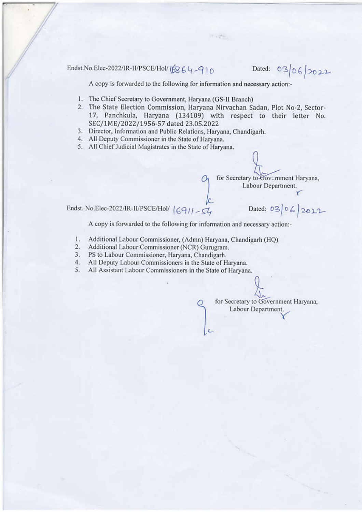Endst.No.Elec-2022/IR-II/PSCE/Hol/ (S & 4-9 | 0

Dated: 03/06/2022

A copy is forwarded to the following for information and necessary action:-

- 1. The Chief Secretary to Government, Haryana (GS-II Branch)
- 2. The State Election Commission, Haryana Nirvachan Sadan, Plot No-2, Sector-17, Panchkula, Haryana (134109) with respect to their letter No. SEC/1ME/2022/1956-57 dated 23.05.2022

 $\sim 10^{4}$ 

- 3. Director, Information and Public Relations, Haryana, Chandigarh.
- 4. All Deputy Commissioner in the State of Haryana.
- 5. All Chief Judicial Magistrates in the State of Haryana.

for Secretary to Gov. mment Haryana, Labour Department.

Dated: 03/06/2022

Endst. No.Elec-2022/IR-II/PSCE/Hol/  $|\zeta 91|$  -  $\zeta 1$ 

A copy is forwarded to the following for information and necessary action:-

- 1. Additional Labour Commissioner, (Admn) Haryana, Chandigarh (HQ)
- $2.$ Additional Labour Commissioner (NCR) Gurugram.
- 3. PS to Labour Commissioner, Haryana, Chandigarh.
- 4. All Deputy Labour Commissioners in the State of Haryana.
- 5. All Assistant Labour Commissioners in the State of Haryana.

for Secretary to Government Haryana, Labour Department.